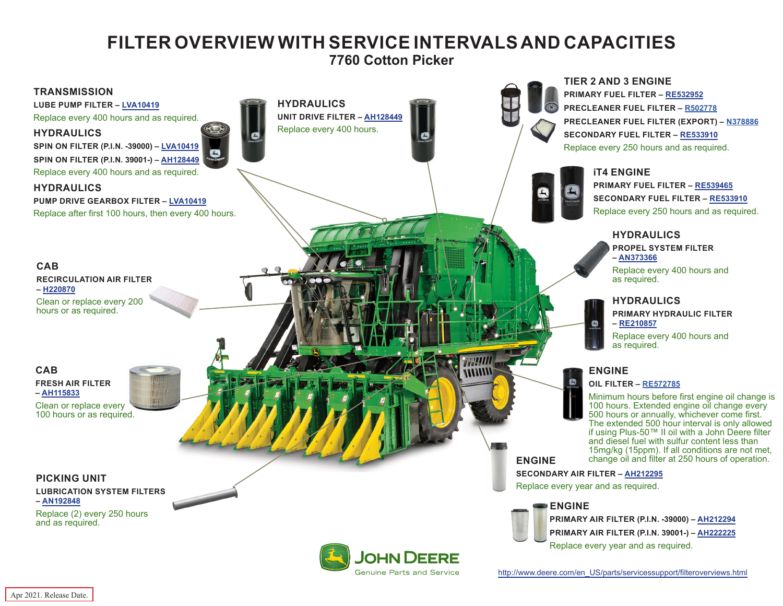# **FILTER OVERVIEW WITH SERVICE INTERVALS AND CAPACITIES**

**7760 Cotton Picker**

<span id="page-0-0"></span>

**Genuine Parts and Service** 

[http://www.deere.com/en\\_US/parts/servicessupport/filteroverviews.html](http://www.deere.com/en_US/parts/servicessupport/filteroverviews.html)